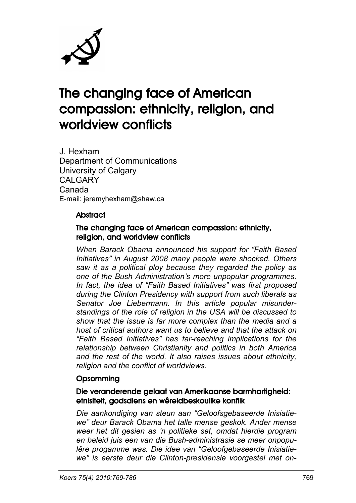

# The changing face of American compassion: ethnicity, religion, and worldview conflicts

J. Hexham Department of Communications University of Calgary CALGARY Canada E-mail: jeremyhexham@shaw.ca

#### **Abstract**

#### The changing face of American compassion: ethnicity, religion, and worldview conflicts

*When Barack Obama announced his support for "Faith Based Initiatives" in August 2008 many people were shocked. Others saw it as a political ploy because they regarded the policy as one of the Bush Administration's more unpopular programmes. In fact, the idea of "Faith Based Initiatives" was first proposed during the Clinton Presidency with support from such liberals as Senator Joe Liebermann. In this article popular misunderstandings of the role of religion in the USA will be discussed to show that the issue is far more complex than the media and a host of critical authors want us to believe and that the attack on "Faith Based Initiatives" has far-reaching implications for the relationship between Christianity and politics in both America and the rest of the world. It also raises issues about ethnicity, religion and the conflict of worldviews.*

#### **Opsomming**

#### Die veranderende gelaat van Amerikaanse barmhartigheid: etnisiteit, godsdiens en wêreldbeskoulike konflik

*Die aankondiging van steun aan "Geloofsgebaseerde Inisiatiewe" deur Barack Obama het talle mense geskok. Ander mense weer het dit gesien as 'n politieke set, omdat hierdie program en beleid juis een van die Bush-administrasie se meer onpopulêre progamme was. Die idee van "Geloofgebaseerde Inisiatiewe" is eerste deur die Clinton-presidensie voorgestel met on-*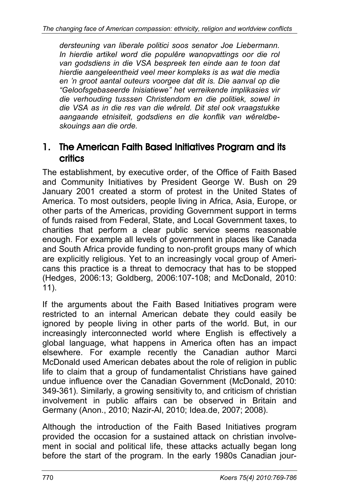*dersteuning van liberale politici soos senator Joe Liebermann. In hierdie artikel word die populêre wanopvattings oor die rol van godsdiens in die VSA bespreek ten einde aan te toon dat hierdie aangeleentheid veel meer kompleks is as wat die media en 'n groot aantal outeurs voorgee dat dit is. Die aanval op die "Geloofsgebaseerde Inisiatiewe" het verreikende implikasies vir die verhouding tusssen Christendom en die politiek, sowel in die VSA as in die res van die wêreld. Dit stel ook vraagstukke aangaande etnisiteit, godsdiens en die konflik van wêreldbeskouings aan die orde.*

### 1. The American Faith Based Initiatives Program and its **critics**

The establishment, by executive order, of the Office of Faith Based and Community Initiatives by President George W. Bush on 29 January 2001 created a storm of protest in the United States of America. To most outsiders, people living in Africa, Asia, Europe, or other parts of the Americas, providing Government support in terms of funds raised from Federal, State, and Local Government taxes, to charities that perform a clear public service seems reasonable enough. For example all levels of government in places like Canada and South Africa provide funding to non-profit groups many of which are explicitly religious. Yet to an increasingly vocal group of Americans this practice is a threat to democracy that has to be stopped (Hedges, 2006:13; Goldberg, 2006:107-108; and McDonald, 2010: 11).

If the arguments about the Faith Based Initiatives program were restricted to an internal American debate they could easily be ignored by people living in other parts of the world. But, in our increasingly interconnected world where English is effectively a global language, what happens in America often has an impact elsewhere. For example recently the Canadian author Marci McDonald used American debates about the role of religion in public life to claim that a group of fundamentalist Christians have gained undue influence over the Canadian Government (McDonald, 2010: 349-361). Similarly, a growing sensitivity to, and criticism of christian involvement in public affairs can be observed in Britain and Germany (Anon., 2010; Nazir-Al, 2010; Idea.de, 2007; 2008).

Although the introduction of the Faith Based Initiatives program provided the occasion for a sustained attack on christian involvement in social and political life, these attacks actually began long before the start of the program. In the early 1980s Canadian jour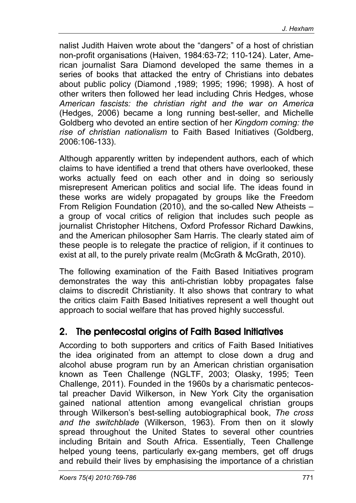nalist Judith Haiven wrote about the "dangers" of a host of christian non-profit organisations (Haiven, 1984:63-72; 110-124). Later, American journalist Sara Diamond developed the same themes in a series of books that attacked the entry of Christians into debates about public policy (Diamond ,1989; 1995; 1996; 1998). A host of other writers then followed her lead including Chris Hedges, whose *American fascists: the christian right and the war on America*  (Hedges, 2006) became a long running best-seller, and Michelle Goldberg who devoted an entire section of her *Kingdom coming: the rise of christian nationalism* to Faith Based Initiatives (Goldberg, 2006:106-133).

Although apparently written by independent authors, each of which claims to have identified a trend that others have overlooked, these works actually feed on each other and in doing so seriously misrepresent American politics and social life. The ideas found in these works are widely propagated by groups like the Freedom From Religion Foundation (2010), and the so-called New Atheists – a group of vocal critics of religion that includes such people as journalist Christopher Hitchens, Oxford Professor Richard Dawkins, and the American philosopher Sam Harris. The clearly stated aim of these people is to relegate the practice of religion, if it continues to exist at all, to the purely private realm (McGrath & McGrath, 2010).

The following examination of the Faith Based Initiatives program demonstrates the way this anti-christian lobby propagates false claims to discredit Christianity. It also shows that contrary to what the critics claim Faith Based Initiatives represent a well thought out approach to social welfare that has proved highly successful.

### 2. The pentecostal origins of Faith Based Initiatives

According to both supporters and critics of Faith Based Initiatives the idea originated from an attempt to close down a drug and alcohol abuse program run by an American christian organisation known as Teen Challenge (NGLTF, 2003; Olasky, 1995; Teen Challenge, 2011). Founded in the 1960s by a charismatic pentecostal preacher David Wilkerson, in New York City the organisation gained national attention among evangelical christian groups through Wilkerson's best-selling autobiographical book, *The cross and the switchblade* (Wilkerson, 1963). From then on it slowly spread throughout the United States to several other countries including Britain and South Africa. Essentially, Teen Challenge helped young teens, particularly ex-gang members, get off drugs and rebuild their lives by emphasising the importance of a christian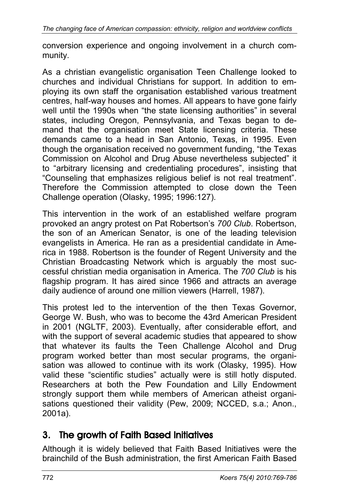conversion experience and ongoing involvement in a church community.

As a christian evangelistic organisation Teen Challenge looked to churches and individual Christians for support. In addition to employing its own staff the organisation established various treatment centres, half-way houses and homes. All appears to have gone fairly well until the 1990s when "the state licensing authorities" in several states, including Oregon, Pennsylvania, and Texas began to demand that the organisation meet State licensing criteria. These demands came to a head in San Antonio, Texas, in 1995. Even though the organisation received no government funding, "the Texas Commission on Alcohol and Drug Abuse nevertheless subjected" it to "arbitrary licensing and credentialing procedures", insisting that "Counseling that emphasizes religious belief is not real treatment". Therefore the Commission attempted to close down the Teen Challenge operation (Olasky, 1995; 1996:127).

This intervention in the work of an established welfare program provoked an angry protest on Pat Robertson's *700 Club*. Robertson, the son of an American Senator, is one of the leading television evangelists in America. He ran as a presidential candidate in America in 1988. Robertson is the founder of Regent University and the Christian Broadcasting Network which is arguably the most successful christian media organisation in America. The *700 Club* is his flagship program. It has aired since 1966 and attracts an average daily audience of around one million viewers (Harrell, 1987).

This protest led to the intervention of the then Texas Governor, George W. Bush, who was to become the 43rd American President in 2001 (NGLTF, 2003). Eventually, after considerable effort, and with the support of several academic studies that appeared to show that whatever its faults the Teen Challenge Alcohol and Drug program worked better than most secular programs, the organisation was allowed to continue with its work (Olasky, 1995). How valid these "scientific studies" actually were is still hotly disputed. Researchers at both the Pew Foundation and Lilly Endowment strongly support them while members of American atheist organisations questioned their validity (Pew, 2009; NCCED, s.a.; Anon., 2001a).

# 3. The growth of Faith Based Initiatives

Although it is widely believed that Faith Based Initiatives were the brainchild of the Bush administration, the first American Faith Based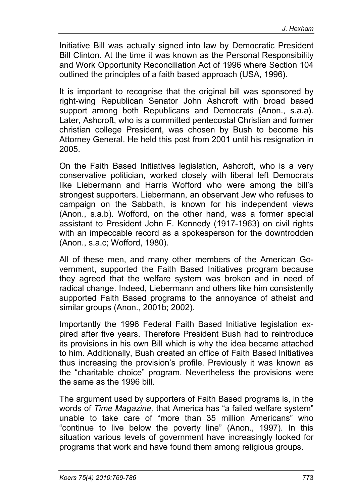Initiative Bill was actually signed into law by Democratic President Bill Clinton. At the time it was known as the Personal Responsibility and Work Opportunity Reconciliation Act of 1996 where Section 104 outlined the principles of a faith based approach (USA, 1996).

It is important to recognise that the original bill was sponsored by right-wing Republican Senator John Ashcroft with broad based support among both Republicans and Democrats (Anon., s.a.a). Later, Ashcroft, who is a committed pentecostal Christian and former christian college President, was chosen by Bush to become his Attorney General. He held this post from 2001 until his resignation in 2005.

On the Faith Based Initiatives legislation, Ashcroft, who is a very conservative politician, worked closely with liberal left Democrats like Liebermann and Harris Wofford who were among the bill's strongest supporters. Liebermann, an observant Jew who refuses to campaign on the Sabbath, is known for his independent views (Anon., s.a.b). Wofford, on the other hand, was a former special assistant to President John F. Kennedy (1917-1963) on civil rights with an impeccable record as a spokesperson for the downtrodden (Anon., s.a.c; Wofford, 1980).

All of these men, and many other members of the American Government, supported the Faith Based Initiatives program because they agreed that the welfare system was broken and in need of radical change. Indeed, Liebermann and others like him consistently supported Faith Based programs to the annoyance of atheist and similar groups (Anon., 2001b; 2002).

Importantly the 1996 Federal Faith Based Initiative legislation expired after five years. Therefore President Bush had to reintroduce its provisions in his own Bill which is why the idea became attached to him. Additionally, Bush created an office of Faith Based Initiatives thus increasing the provision's profile. Previously it was known as the "charitable choice" program. Nevertheless the provisions were the same as the 1996 bill.

The argument used by supporters of Faith Based programs is, in the words of *Time Magazine,* that America has "a failed welfare system" unable to take care of "more than 35 million Americans" who "continue to live below the poverty line" (Anon., 1997). In this situation various levels of government have increasingly looked for programs that work and have found them among religious groups.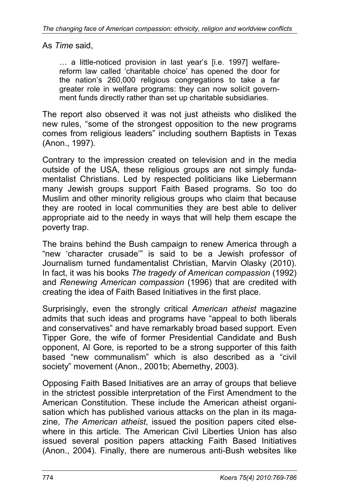As *Time* said,

… a little-noticed provision in last year's [i.e. 1997] welfarereform law called 'charitable choice' has opened the door for the nation's 260,000 religious congregations to take a far greater role in welfare programs: they can now solicit government funds directly rather than set up charitable subsidiaries.

The report also observed it was not just atheists who disliked the new rules, "some of the strongest opposition to the new programs comes from religious leaders" including southern Baptists in Texas (Anon., 1997).

Contrary to the impression created on television and in the media outside of the USA, these religious groups are not simply fundamentalist Christians. Led by respected politicians like Liebermann many Jewish groups support Faith Based programs. So too do Muslim and other minority religious groups who claim that because they are rooted in local communities they are best able to deliver appropriate aid to the needy in ways that will help them escape the poverty trap.

The brains behind the Bush campaign to renew America through a "new 'character crusade'" is said to be a Jewish professor of Journalism turned fundamentalist Christian, Marvin Olasky (2010). In fact, it was his books *The tragedy of American compassion* (1992) and *Renewing American compassion* (1996) that are credited with creating the idea of Faith Based Initiatives in the first place.

Surprisingly, even the strongly critical *American atheist* magazine admits that such ideas and programs have "appeal to both liberals and conservatives" and have remarkably broad based support. Even Tipper Gore, the wife of former Presidential Candidate and Bush opponent, Al Gore, is reported to be a strong supporter of this faith based "new communalism" which is also described as a "civil society" movement (Anon., 2001b; Abernethy, 2003).

Opposing Faith Based Initiatives are an array of groups that believe in the strictest possible interpretation of the First Amendment to the American Constitution. These include the American atheist organisation which has published various attacks on the plan in its magazine, *The American atheist*, issued the position papers cited elsewhere in this article. The American Civil Liberties Union has also issued several position papers attacking Faith Based Initiatives (Anon., 2004). Finally, there are numerous anti-Bush websites like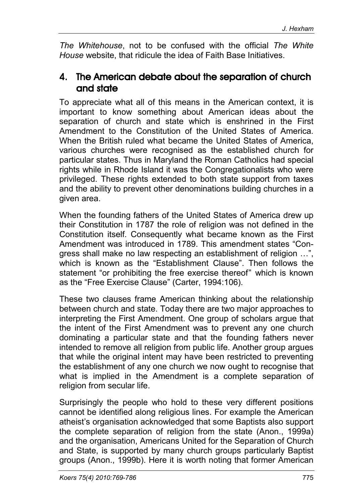*The Whitehouse*, not to be confused with the official *The White House* website, that ridicule the idea of Faith Base Initiatives.

### 4. The American debate about the separation of church and state

To appreciate what all of this means in the American context, it is important to know something about American ideas about the separation of church and state which is enshrined in the First Amendment to the Constitution of the United States of America. When the British ruled what became the United States of America, various churches were recognised as the established church for particular states. Thus in Maryland the Roman Catholics had special rights while in Rhode Island it was the Congregationalists who were privileged. These rights extended to both state support from taxes and the ability to prevent other denominations building churches in a given area.

When the founding fathers of the United States of America drew up their Constitution in 1787 the role of religion was not defined in the Constitution itself. Consequently what became known as the First Amendment was introduced in 1789. This amendment states "Congress shall make no law respecting an establishment of religion …", which is known as the "Establishment Clause". Then follows the statement "or prohibiting the free exercise thereof" which is known as the "Free Exercise Clause" (Carter, 1994:106).

These two clauses frame American thinking about the relationship between church and state. Today there are two major approaches to interpreting the First Amendment. One group of scholars argue that the intent of the First Amendment was to prevent any one church dominating a particular state and that the founding fathers never intended to remove all religion from public life. Another group argues that while the original intent may have been restricted to preventing the establishment of any one church we now ought to recognise that what is implied in the Amendment is a complete separation of religion from secular life.

Surprisingly the people who hold to these very different positions cannot be identified along religious lines. For example the American atheist's organisation acknowledged that some Baptists also support the complete separation of religion from the state (Anon., 1999a) and the organisation, Americans United for the Separation of Church and State, is supported by many church groups particularly Baptist groups (Anon., 1999b). Here it is worth noting that former American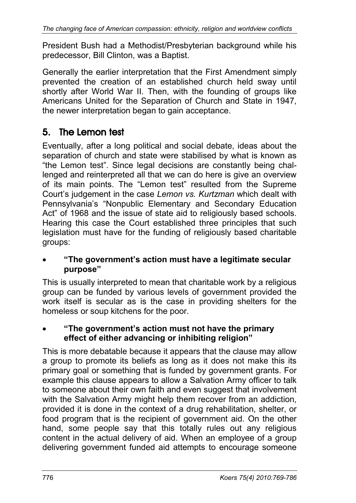President Bush had a Methodist/Presbyterian background while his predecessor, Bill Clinton, was a Baptist.

Generally the earlier interpretation that the First Amendment simply prevented the creation of an established church held sway until shortly after World War II. Then, with the founding of groups like Americans United for the Separation of Church and State in 1947, the newer interpretation began to gain acceptance.

# 5. The Lemon test

Eventually, after a long political and social debate, ideas about the separation of church and state were stabilised by what is known as "the Lemon test". Since legal decisions are constantly being challenged and reinterpreted all that we can do here is give an overview of its main points. The "Lemon test" resulted from the Supreme Court's judgement in the case *Lemon vs. Kurtzman* which dealt with Pennsylvania's "Nonpublic Elementary and Secondary Education Act" of 1968 and the issue of state aid to religiously based schools. Hearing this case the Court established three principles that such legislation must have for the funding of religiously based charitable groups:

• **"The government's action must have a legitimate secular purpose"**

This is usually interpreted to mean that charitable work by a religious group can be funded by various levels of government provided the work itself is secular as is the case in providing shelters for the homeless or soup kitchens for the poor.

• **"The government's action must not have the primary effect of either advancing or inhibiting religion"**

This is more debatable because it appears that the clause may allow a group to promote its beliefs as long as it does not make this its primary goal or something that is funded by government grants. For example this clause appears to allow a Salvation Army officer to talk to someone about their own faith and even suggest that involvement with the Salvation Army might help them recover from an addiction, provided it is done in the context of a drug rehabilitation, shelter, or food program that is the recipient of government aid. On the other hand, some people say that this totally rules out any religious content in the actual delivery of aid. When an employee of a group delivering government funded aid attempts to encourage someone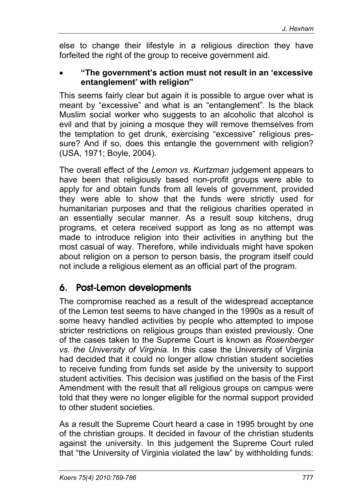else to change their lifestyle in a religious direction they have forfeited the right of the group to receive government aid.

#### • **"The government's action must not result in an 'excessive entanglement' with religion"**

This seems fairly clear but again it is possible to argue over what is meant by "excessive" and what is an "entanglement". Is the black Muslim social worker who suggests to an alcoholic that alcohol is evil and that by joining a mosque they will remove themselves from the temptation to get drunk, exercising "excessive" religious pressure? And if so, does this entangle the government with religion? (USA, 1971; Boyle, 2004).

The overall effect of the *Lemon vs. Kurtzman* judgement appears to have been that religiously based non-profit groups were able to apply for and obtain funds from all levels of government, provided they were able to show that the funds were strictly used for humanitarian purposes and that the religious charities operated in an essentially secular manner. As a result soup kitchens, drug programs, et cetera received support as long as no attempt was made to introduce religion into their activities in anything but the most casual of way. Therefore, while individuals might have spoken about religion on a person to person basis, the program itself could not include a religious element as an official part of the program.

# 6. Post-Lemon developments

The compromise reached as a result of the widespread acceptance of the Lemon test seems to have changed in the 1990s as a result of some heavy handled activities by people who attempted to impose stricter restrictions on religious groups than existed previously. One of the cases taken to the Supreme Court is known as *Rosenberger vs. the University of Virginia*. In this case the University of Virginia had decided that it could no longer allow christian student societies to receive funding from funds set aside by the university to support student activities. This decision was justified on the basis of the First Amendment with the result that all religious groups on campus were told that they were no longer eligible for the normal support provided to other student societies.

As a result the Supreme Court heard a case in 1995 brought by one of the christian groups. It decided in favour of the christian students against the university. In this judgement the Supreme Court ruled that "the University of Virginia violated the law" by withholding funds: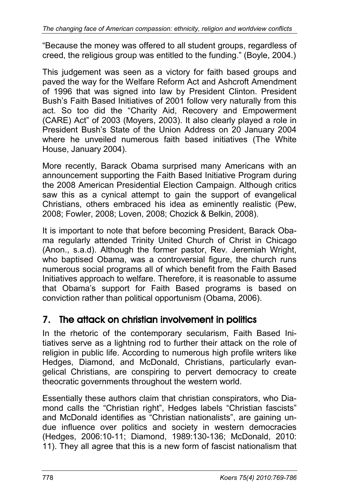"Because the money was offered to all student groups, regardless of creed, the religious group was entitled to the funding." (Boyle, 2004.)

This judgement was seen as a victory for faith based groups and paved the way for the Welfare Reform Act and Ashcroft Amendment of 1996 that was signed into law by President Clinton. President Bush's Faith Based Initiatives of 2001 follow very naturally from this act. So too did the "Charity Aid, Recovery and Empowerment (CARE) Act" of 2003 (Moyers, 2003). It also clearly played a role in President Bush's State of the Union Address on 20 January 2004 where he unveiled numerous faith based initiatives (The White House, January 2004).

More recently, Barack Obama surprised many Americans with an announcement supporting the Faith Based Initiative Program during the 2008 American Presidential Election Campaign. Although critics saw this as a cynical attempt to gain the support of evangelical Christians, others embraced his idea as eminently realistic (Pew, 2008; Fowler, 2008; Loven, 2008; Chozick & Belkin, 2008).

It is important to note that before becoming President, Barack Obama regularly attended Trinity United Church of Christ in Chicago (Anon., s.a.d). Although the former pastor, Rev. Jeremiah Wright, who baptised Obama, was a controversial figure, the church runs numerous social programs all of which benefit from the Faith Based Initiatives approach to welfare. Therefore, it is reasonable to assume that Obama's support for Faith Based programs is based on conviction rather than political opportunism (Obama, 2006).

# 7. The attack on christian involvement in politics

In the rhetoric of the contemporary secularism, Faith Based Initiatives serve as a lightning rod to further their attack on the role of religion in public life. According to numerous high profile writers like Hedges, Diamond, and McDonald, Christians, particularly evangelical Christians, are conspiring to pervert democracy to create theocratic governments throughout the western world.

Essentially these authors claim that christian conspirators, who Diamond calls the "Christian right", Hedges labels "Christian fascists" and McDonald identifies as "Christian nationalists", are gaining undue influence over politics and society in western democracies (Hedges, 2006:10-11; Diamond, 1989:130-136; McDonald, 2010: 11). They all agree that this is a new form of fascist nationalism that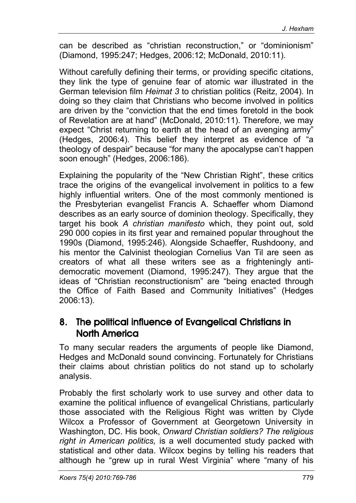can be described as "christian reconstruction," or "dominionism" (Diamond, 1995:247; Hedges, 2006:12; McDonald, 2010:11).

Without carefully defining their terms, or providing specific citations, they link the type of genuine fear of atomic war illustrated in the German television film *Heimat 3* to christian politics (Reitz, 2004). In doing so they claim that Christians who become involved in politics are driven by the "conviction that the end times foretold in the book of Revelation are at hand" (McDonald, 2010:11). Therefore, we may expect "Christ returning to earth at the head of an avenging army" (Hedges, 2006:4). This belief they interpret as evidence of "a theology of despair" because "for many the apocalypse can't happen soon enough" (Hedges, 2006:186).

Explaining the popularity of the "New Christian Right", these critics trace the origins of the evangelical involvement in politics to a few highly influential writers. One of the most commonly mentioned is the Presbyterian evangelist Francis A. Schaeffer whom Diamond describes as an early source of dominion theology. Specifically, they target his book *A christian manifesto* which, they point out, sold 290 000 copies in its first year and remained popular throughout the 1990s (Diamond, 1995:246). Alongside Schaeffer, Rushdoony, and his mentor the Calvinist theologian Cornelius Van Til are seen as creators of what all these writers see as a frighteningly antidemocratic movement (Diamond, 1995:247). They argue that the ideas of "Christian reconstructionism" are "being enacted through the Office of Faith Based and Community Initiatives" (Hedges 2006:13).

### 8. The political influence of Evangelical Christians in North America

To many secular readers the arguments of people like Diamond, Hedges and McDonald sound convincing. Fortunately for Christians their claims about christian politics do not stand up to scholarly analysis.

Probably the first scholarly work to use survey and other data to examine the political influence of evangelical Christians, particularly those associated with the Religious Right was written by Clyde Wilcox a Professor of Government at Georgetown University in Washington, DC. His book, *Onward Christian soldiers? The religious right in American politics,* is a well documented study packed with statistical and other data. Wilcox begins by telling his readers that although he "grew up in rural West Virginia" where "many of his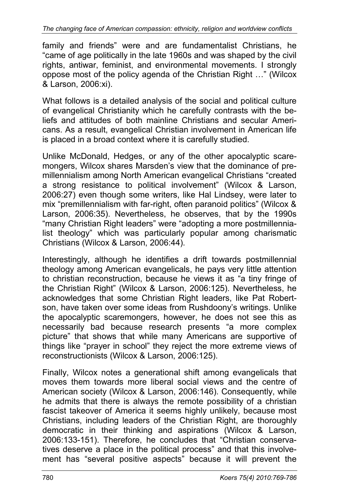family and friends" were and are fundamentalist Christians, he "came of age politically in the late 1960s and was shaped by the civil rights, antiwar, feminist, and environmental movements. I strongly oppose most of the policy agenda of the Christian Right …" (Wilcox & Larson, 2006:xi).

What follows is a detailed analysis of the social and political culture of evangelical Christianity which he carefully contrasts with the beliefs and attitudes of both mainline Christians and secular Americans. As a result, evangelical Christian involvement in American life is placed in a broad context where it is carefully studied.

Unlike McDonald, Hedges, or any of the other apocalyptic scaremongers, Wilcox shares Marsden's view that the dominance of premillennialism among North American evangelical Christians "created a strong resistance to political involvement" (Wilcox & Larson, 2006:27) even though some writers, like Hal Lindsey, were later to mix "premillennialism with far-right, often paranoid politics" (Wilcox & Larson, 2006:35). Nevertheless, he observes, that by the 1990s "many Christian Right leaders" were "adopting a more postmillennialist theology" which was particularly popular among charismatic Christians (Wilcox & Larson, 2006:44).

Interestingly, although he identifies a drift towards postmillennial theology among American evangelicals, he pays very little attention to christian reconstruction, because he views it as "a tiny fringe of the Christian Right" (Wilcox & Larson, 2006:125). Nevertheless, he acknowledges that some Christian Right leaders, like Pat Robertson, have taken over some ideas from Rushdoony's writings. Unlike the apocalyptic scaremongers, however, he does not see this as necessarily bad because research presents "a more complex picture" that shows that while many Americans are supportive of things like "prayer in school" they reject the more extreme views of reconstructionists (Wilcox & Larson, 2006:125).

Finally, Wilcox notes a generational shift among evangelicals that moves them towards more liberal social views and the centre of American society (Wilcox & Larson, 2006:146). Consequently, while he admits that there is always the remote possibility of a christian fascist takeover of America it seems highly unlikely, because most Christians, including leaders of the Christian Right, are thoroughly democratic in their thinking and aspirations (Wilcox & Larson, 2006:133-151). Therefore, he concludes that "Christian conservatives deserve a place in the political process" and that this involvement has "several positive aspects" because it will prevent the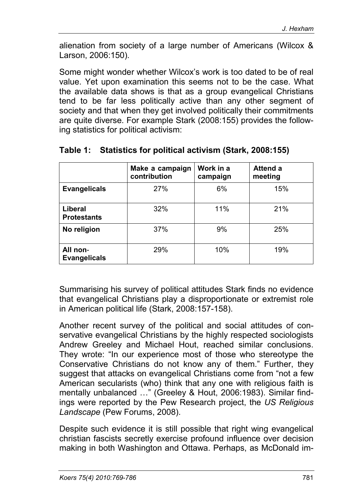alienation from society of a large number of Americans (Wilcox & Larson, 2006:150).

Some might wonder whether Wilcox's work is too dated to be of real value. Yet upon examination this seems not to be the case. What the available data shows is that as a group evangelical Christians tend to be far less politically active than any other segment of society and that when they get involved politically their commitments are quite diverse. For example Stark (2008:155) provides the following statistics for political activism:

|                                      | Make a campaign<br>contribution | Work in a<br>campaign | Attend a<br>meeting |
|--------------------------------------|---------------------------------|-----------------------|---------------------|
| <b>Evangelicals</b>                  | 27%                             | 6%                    | 15%                 |
| <b>Liberal</b><br><b>Protestants</b> | 32%                             | 11%                   | 21%                 |
| No religion                          | 37%                             | 9%                    | 25%                 |
| All non-<br><b>Evangelicals</b>      | 29%                             | 10%                   | 19%                 |

#### **Table 1: Statistics for political activism (Stark, 2008:155)**

Summarising his survey of political attitudes Stark finds no evidence that evangelical Christians play a disproportionate or extremist role in American political life (Stark, 2008:157-158).

Another recent survey of the political and social attitudes of conservative evangelical Christians by the highly respected sociologists Andrew Greeley and Michael Hout, reached similar conclusions. They wrote: "In our experience most of those who stereotype the Conservative Christians do not know any of them." Further, they suggest that attacks on evangelical Christians come from "not a few American secularists (who) think that any one with religious faith is mentally unbalanced …" (Greeley & Hout, 2006:1983). Similar findings were reported by the Pew Research project, the *US Religious Landscape* (Pew Forums, 2008).

Despite such evidence it is still possible that right wing evangelical christian fascists secretly exercise profound influence over decision making in both Washington and Ottawa. Perhaps, as McDonald im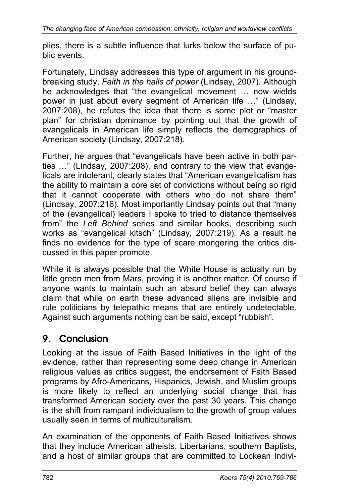plies, there is a subtle influence that lurks below the surface of public events.

Fortunately, Lindsay addresses this type of argument in his groundbreaking study, *Faith in the halls of power* (Lindsay, 2007). Although he acknowledges that "the evangelical movement ... now wields power in just about every segment of American life …" (Lindsay, 2007:208), he refutes the idea that there is some plot or "master plan" for christian dominance by pointing out that the growth of evangelicals in American life simply reflects the demographics of American society (Lindsay, 2007:218).

Further, he argues that "evangelicals have been active in both parties …" (Lindsay, 2007:208), and contrary to the view that evangelicals are intolerant, clearly states that "American evangelicalism has the ability to maintain a core set of convictions without being so rigid that it cannot cooperate with others who do not share them" (Lindsay, 2007:216). Most importantly Lindsay points out that "many of the (evangelical) leaders I spoke to tried to distance themselves from" the *Left Behind* series and similar books, describing such works as "evangelical kitsch" (Lindsay, 2007:219). As a result he finds no evidence for the type of scare mongering the critics discussed in this paper promote.

While it is always possible that the White House is actually run by little green men from Mars, proving it is another matter. Of course if anyone wants to maintain such an absurd belief they can always claim that while on earth these advanced aliens are invisible and rule politicians by telepathic means that are entirely undetectable. Against such arguments nothing can be said, except "rubbish".

# 9. Conclusion

Looking at the issue of Faith Based Initiatives in the light of the evidence, rather than representing some deep change in American religious values as critics suggest, the endorsement of Faith Based programs by Afro-Americans, Hispanics, Jewish, and Muslim groups is more likely to reflect an underlying social change that has transformed American society over the past 30 years. This change is the shift from rampant individualism to the growth of group values usually seen in terms of multiculturalism.

An examination of the opponents of Faith Based Initiatives shows that they include American atheists, Libertarians, southern Baptists, and a host of similar groups that are committed to Lockean Indivi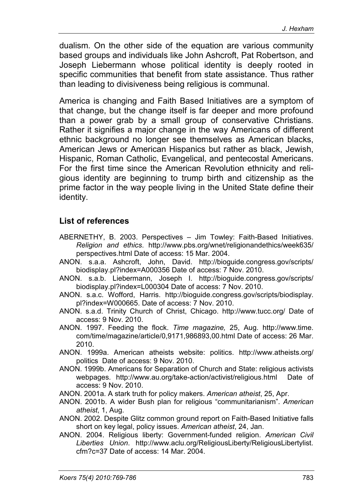dualism. On the other side of the equation are various community based groups and individuals like John Ashcroft, Pat Robertson, and Joseph Liebermann whose political identity is deeply rooted in specific communities that benefit from state assistance. Thus rather than leading to divisiveness being religious is communal.

America is changing and Faith Based Initiatives are a symptom of that change, but the change itself is far deeper and more profound than a power grab by a small group of conservative Christians. Rather it signifies a major change in the way Americans of different ethnic background no longer see themselves as American blacks, American Jews or American Hispanics but rather as black, Jewish, Hispanic, Roman Catholic, Evangelical, and pentecostal Americans. For the first time since the American Revolution ethnicity and religious identity are beginning to trump birth and citizenship as the prime factor in the way people living in the United State define their identity.

#### **List of references**

- ABERNETHY, B. 2003. Perspectives Jim Towley: Faith-Based Initiatives. *Religion and ethics*. http://www.pbs.org/wnet/religionandethics/week635/ perspectives.html Date of access: 15 Mar. 2004.
- ANON. s.a.a. Ashcroft, John, David. http://bioguide.congress.gov/scripts/ biodisplay.pl?index=A000356 Date of access: 7 Nov. 2010.
- ANON. s.a.b. Liebermann, Joseph I. http://bioguide.congress.gov/scripts/ biodisplay.pl?index=L000304 Date of access: 7 Nov. 2010.
- ANON. s.a.c. Wofford, Harris. http://bioguide.congress.gov/scripts/biodisplay. pl?index=W000665. Date of access: 7 Nov. 2010.
- ANON. s.a.d. Trinity Church of Christ, Chicago. http://www.tucc.org/ Date of access: 9 Nov. 2010.
- ANON. 1997. Feeding the flock. *Time magazine,* 25, Aug. http://www.time. com/time/magazine/article/0,9171,986893,00.html Date of access: 26 Mar. 2010.
- ANON. 1999a. American atheists website: politics. http://www.atheists.org/ politics Date of access: 9 Nov. 2010.
- ANON. 1999b. Americans for Separation of Church and State: religious activists webpages. http://www.au.org/take-action/activist/religious.html Date of access: 9 Nov. 2010.
- ANON. 2001a. A stark truth for policy makers. *American atheist*, 25, Apr.
- ANON. 2001b. A wider Bush plan for religious "communitarianism". *American atheist*, 1, Aug.
- ANON. 2002. Despite Glitz common ground report on Faith-Based Initiative falls short on key legal, policy issues. *American atheist*, 24, Jan.
- ANON. 2004. Religious liberty: Government-funded religion. *American Civil Liberties Union*. http://www.aclu.org/ReligiousLiberty/ReligiousLibertylist. cfm?c=37 Date of access: 14 Mar. 2004.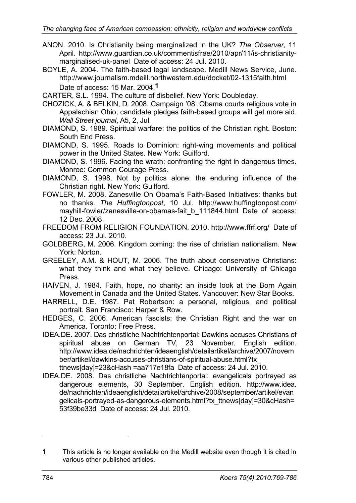- ANON. 2010. Is Christianity being marginalized in the UK? *The Observer*, 11 April. http://www.guardian.co.uk/commentisfree/2010/apr/11/is-christianitymarginalised-uk-panel Date of access: 24 Jul. 2010.
- BOYLE, A. 2004. The faith-based legal landscape. Medill News Service, June. http://www.journalism.mdeill.northwestern.edu/docket/02-1315faith.html Date of access: 15 Mar. 2004.**1**

CARTER, S.L. 1994. The culture of disbelief. New York: Doubleday.

- CHOZICK, A. & BELKIN, D. 2008. Campaign '08: Obama courts religious vote in Appalachian Ohio; candidate pledges faith-based groups will get more aid. *Wall Street journal*, A5, 2, Jul.
- DIAMOND, S. 1989. Spiritual warfare: the politics of the Christian right. Boston: South End Press.

DIAMOND, S. 1995. Roads to Dominion: right-wing movements and political power in the United States. New York: Guilford.

DIAMOND, S. 1996. Facing the wrath: confronting the right in dangerous times. Monroe: Common Courage Press.

DIAMOND, S. 1998. Not by politics alone: the enduring influence of the Christian right. New York: Guilford.

FOWLER, M. 2008. Zanesville On Obama's Faith-Based Initiatives: thanks but no thanks. *The Huffingtonpost*, 10 Jul. http://www.huffingtonpost.com/ mayhill-fowler/zanesville-on-obamas-fait b 111844.html Date of access: 12 Dec. 2008.

FREEDOM FROM RELIGION FOUNDATION. 2010. http://www.ffrf.org/ Date of access: 23 Jul. 2010.

- GOLDBERG, M. 2006. Kingdom coming: the rise of christian nationalism. New York: Norton.
- GREELEY, A.M. & HOUT, M. 2006. The truth about conservative Christians: what they think and what they believe. Chicago: University of Chicago Press.
- HAIVEN, J. 1984. Faith, hope, no charity: an inside look at the Born Again Movement in Canada and the United States. Vancouver: New Star Books.
- HARRELL, D.E. 1987. Pat Robertson: a personal, religious, and political portrait. San Francisco: Harper & Row.
- HEDGES, C. 2006. American fascists: the Christian Right and the war on America. Toronto: Free Press.
- IDEA.DE. 2007. Das christliche Nachtrichtenportal: Dawkins accuses Christians of spiritual abuse on German TV, 23 November. English edition. http://www.idea.de/nachrichten/ideaenglish/detailartikel/archive/2007/novem ber/artikel/dawkins-accuses-christians-of-spiritual-abuse.html?tx\_ ttnews[day]=23&cHash =aa717e18fa Date of access: 24 Jul. 2010.
- IDEA.DE. 2008. Das christliche Nachtrichtenportal: evangelicals portrayed as dangerous elements, 30 September. English edition. http://www.idea. de/nachrichten/ideaenglish/detailartikel/archive/2008/september/artikel/evan gelicals-portrayed-as-dangerous-elements.html?tx\_ttnews[day]=30&cHash= 53f39be33d Date of access: 24 Jul. 2010.

-

<sup>1</sup> This article is no longer available on the Medill website even though it is cited in various other published articles.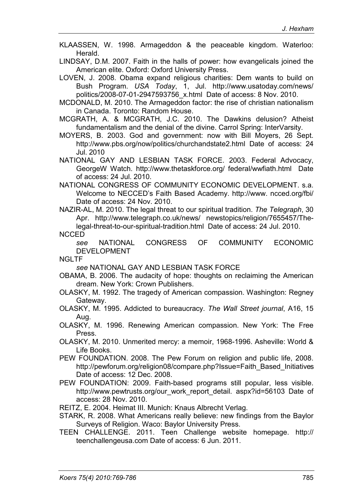KLAASSEN, W. 1998. Armageddon & the peaceable kingdom. Waterloo: Herald.

LINDSAY, D.M. 2007. Faith in the halls of power: how evangelicals joined the American elite. Oxford: Oxford University Press.

LOVEN, J. 2008. Obama expand religious charities: Dem wants to build on Bush Program. *USA Today*, 1, Jul. http://www.usatoday.com/news/ politics/2008-07-01-2947593756\_x.html Date of access: 8 Nov. 2010.

MCDONALD, M. 2010. The Armageddon factor: the rise of christian nationalism in Canada. Toronto: Random House.

MCGRATH, A. & MCGRATH, J.C. 2010. The Dawkins delusion? Atheist fundamentalism and the denial of the divine. Carrol Spring: InterVarsity.

MOYERS, B. 2003. God and government: now with Bill Moyers, 26 Sept. http://www.pbs.org/now/politics/churchandstate2.html Date of access: 24 Jul. 2010

NATIONAL GAY AND LESBIAN TASK FORCE. 2003. Federal Advocacy, GeorgeW Watch. http://www.thetaskforce.org/ federal/wwfiath.html Date of access: 24 Jul. 2010.

NATIONAL CONGRESS OF COMMUNITY ECONOMIC DEVELOPMENT. s.a. Welcome to NECCED's Faith Based Academy. http://www. ncced.org/fbi/ Date of access: 24 Nov. 2010.

NAZIR-AL, M. 2010. The legal threat to our spiritual tradition. *The Telegraph*, 30 Apr. http://www.telegraph.co.uk/news/ newstopics/religion/7655457/Thelegal-threat-to-our-spiritual-tradition.html Date of access: 24 Jul. 2010.

NCCED

*see* NATIONAL CONGRESS OF COMMUNITY ECONOMIC DEVELOPMENT

NGLTF

*see* NATIONAL GAY AND LESBIAN TASK FORCE

- OBAMA, B. 2006. The audacity of hope: thoughts on reclaiming the American dream. New York: Crown Publishers.
- OLASKY, M. 1992. The tragedy of American compassion. Washington: Regney Gateway.
- OLASKY, M. 1995. Addicted to bureaucracy. *The Wall Street journal*, A16, 15 Aug.
- OLASKY, M. 1996. Renewing American compassion. New York: The Free Press.

OLASKY, M. 2010. Unmerited mercy: a memoir, 1968-1996. Asheville: World & Life Books.

- PEW FOUNDATION. 2008. The Pew Forum on religion and public life, 2008. http://pewforum.org/religion08/compare.php?Issue=Faith\_Based\_Initiatives Date of access: 12 Dec. 2008.
- PEW FOUNDATION: 2009. Faith-based programs still popular, less visible. http://www.pewtrusts.org/our\_work\_report\_detail. aspx?id=56103 Date of access: 28 Nov. 2010.

REITZ, E. 2004. Heimat III. Munich: Knaus Albrecht Verlag.

- STARK, R. 2008. What Americans really believe: new findings from the Baylor Surveys of Religion. Waco: Baylor University Press.
- TEEN CHALLENGE. 2011. Teen Challenge website homepage. http:// teenchallengeusa.com Date of access: 6 Jun. 2011.